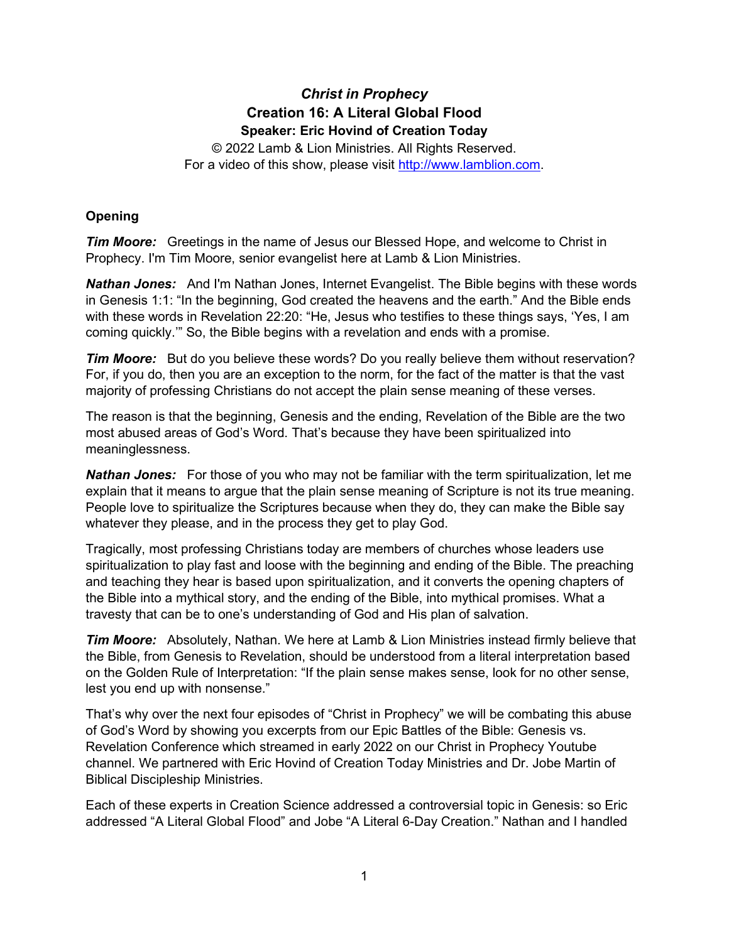# *Christ in Prophecy* **Creation 16: A Literal Global Flood Speaker: Eric Hovind of Creation Today**

© 2022 Lamb & Lion Ministries. All Rights Reserved. For a video of this show, please visit [http://www.lamblion.com.](http://www.lamblion.com/)

## **Opening**

*Tim Moore:* Greetings in the name of Jesus our Blessed Hope, and welcome to Christ in Prophecy. I'm Tim Moore, senior evangelist here at Lamb & Lion Ministries.

*Nathan Jones:* And I'm Nathan Jones, Internet Evangelist. The Bible begins with these words in Genesis 1:1: "In the beginning, God created the heavens and the earth." And the Bible ends with these words in Revelation 22:20: "He, Jesus who testifies to these things says, 'Yes, I am coming quickly.'" So, the Bible begins with a revelation and ends with a promise.

**Tim Moore:** But do you believe these words? Do you really believe them without reservation? For, if you do, then you are an exception to the norm, for the fact of the matter is that the vast majority of professing Christians do not accept the plain sense meaning of these verses.

The reason is that the beginning, Genesis and the ending, Revelation of the Bible are the two most abused areas of God's Word. That's because they have been spiritualized into meaninglessness.

*Nathan Jones:* For those of you who may not be familiar with the term spiritualization, let me explain that it means to argue that the plain sense meaning of Scripture is not its true meaning. People love to spiritualize the Scriptures because when they do, they can make the Bible say whatever they please, and in the process they get to play God.

Tragically, most professing Christians today are members of churches whose leaders use spiritualization to play fast and loose with the beginning and ending of the Bible. The preaching and teaching they hear is based upon spiritualization, and it converts the opening chapters of the Bible into a mythical story, and the ending of the Bible, into mythical promises. What a travesty that can be to one's understanding of God and His plan of salvation.

*Tim Moore:* Absolutely, Nathan. We here at Lamb & Lion Ministries instead firmly believe that the Bible, from Genesis to Revelation, should be understood from a literal interpretation based on the Golden Rule of Interpretation: "If the plain sense makes sense, look for no other sense, lest you end up with nonsense."

That's why over the next four episodes of "Christ in Prophecy" we will be combating this abuse of God's Word by showing you excerpts from our Epic Battles of the Bible: Genesis vs. Revelation Conference which streamed in early 2022 on our Christ in Prophecy Youtube channel. We partnered with Eric Hovind of Creation Today Ministries and Dr. Jobe Martin of Biblical Discipleship Ministries.

Each of these experts in Creation Science addressed a controversial topic in Genesis: so Eric addressed "A Literal Global Flood" and Jobe "A Literal 6-Day Creation." Nathan and I handled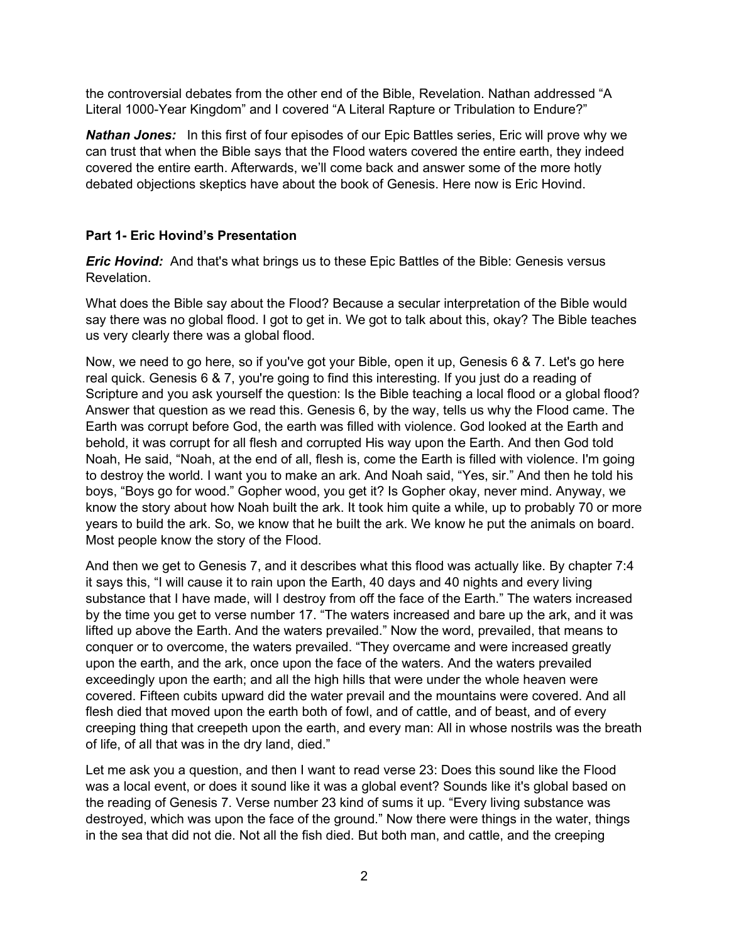the controversial debates from the other end of the Bible, Revelation. Nathan addressed "A Literal 1000-Year Kingdom" and I covered "A Literal Rapture or Tribulation to Endure?"

*Nathan Jones:* In this first of four episodes of our Epic Battles series, Eric will prove why we can trust that when the Bible says that the Flood waters covered the entire earth, they indeed covered the entire earth. Afterwards, we'll come back and answer some of the more hotly debated objections skeptics have about the book of Genesis. Here now is Eric Hovind.

#### **Part 1- Eric Hovind's Presentation**

*Eric Hovind:* And that's what brings us to these Epic Battles of the Bible: Genesis versus Revelation.

What does the Bible say about the Flood? Because a secular interpretation of the Bible would say there was no global flood. I got to get in. We got to talk about this, okay? The Bible teaches us very clearly there was a global flood.

Now, we need to go here, so if you've got your Bible, open it up, Genesis 6 & 7. Let's go here real quick. Genesis 6 & 7, you're going to find this interesting. If you just do a reading of Scripture and you ask yourself the question: Is the Bible teaching a local flood or a global flood? Answer that question as we read this. Genesis 6, by the way, tells us why the Flood came. The Earth was corrupt before God, the earth was filled with violence. God looked at the Earth and behold, it was corrupt for all flesh and corrupted His way upon the Earth. And then God told Noah, He said, "Noah, at the end of all, flesh is, come the Earth is filled with violence. I'm going to destroy the world. I want you to make an ark. And Noah said, "Yes, sir." And then he told his boys, "Boys go for wood." Gopher wood, you get it? Is Gopher okay, never mind. Anyway, we know the story about how Noah built the ark. It took him quite a while, up to probably 70 or more years to build the ark. So, we know that he built the ark. We know he put the animals on board. Most people know the story of the Flood.

And then we get to Genesis 7, and it describes what this flood was actually like. By chapter 7:4 it says this, "I will cause it to rain upon the Earth, 40 days and 40 nights and every living substance that I have made, will I destroy from off the face of the Earth." The waters increased by the time you get to verse number 17. "The waters increased and bare up the ark, and it was lifted up above the Earth. And the waters prevailed." Now the word, prevailed, that means to conquer or to overcome, the waters prevailed. "They overcame and were increased greatly upon the earth, and the ark, once upon the face of the waters. And the waters prevailed exceedingly upon the earth; and all the high hills that were under the whole heaven were covered. Fifteen cubits upward did the water prevail and the mountains were covered. And all flesh died that moved upon the earth both of fowl, and of cattle, and of beast, and of every creeping thing that creepeth upon the earth, and every man: All in whose nostrils was the breath of life, of all that was in the dry land, died."

Let me ask you a question, and then I want to read verse 23: Does this sound like the Flood was a local event, or does it sound like it was a global event? Sounds like it's global based on the reading of Genesis 7. Verse number 23 kind of sums it up. "Every living substance was destroyed, which was upon the face of the ground." Now there were things in the water, things in the sea that did not die. Not all the fish died. But both man, and cattle, and the creeping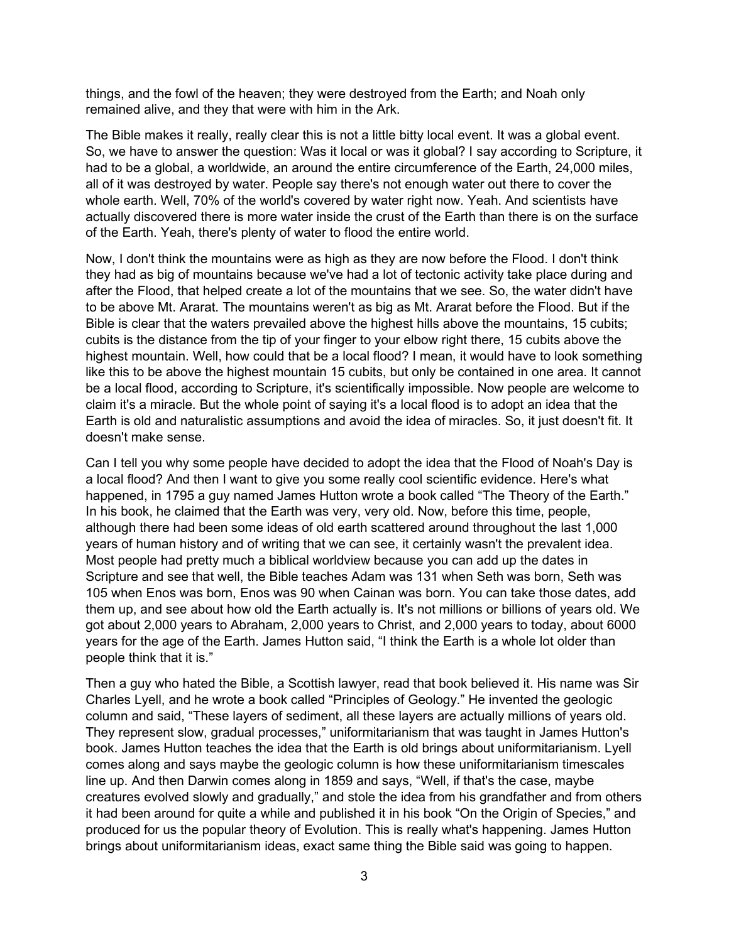things, and the fowl of the heaven; they were destroyed from the Earth; and Noah only remained alive, and they that were with him in the Ark.

The Bible makes it really, really clear this is not a little bitty local event. It was a global event. So, we have to answer the question: Was it local or was it global? I say according to Scripture, it had to be a global, a worldwide, an around the entire circumference of the Earth, 24,000 miles, all of it was destroyed by water. People say there's not enough water out there to cover the whole earth. Well, 70% of the world's covered by water right now. Yeah. And scientists have actually discovered there is more water inside the crust of the Earth than there is on the surface of the Earth. Yeah, there's plenty of water to flood the entire world.

Now, I don't think the mountains were as high as they are now before the Flood. I don't think they had as big of mountains because we've had a lot of tectonic activity take place during and after the Flood, that helped create a lot of the mountains that we see. So, the water didn't have to be above Mt. Ararat. The mountains weren't as big as Mt. Ararat before the Flood. But if the Bible is clear that the waters prevailed above the highest hills above the mountains, 15 cubits; cubits is the distance from the tip of your finger to your elbow right there, 15 cubits above the highest mountain. Well, how could that be a local flood? I mean, it would have to look something like this to be above the highest mountain 15 cubits, but only be contained in one area. It cannot be a local flood, according to Scripture, it's scientifically impossible. Now people are welcome to claim it's a miracle. But the whole point of saying it's a local flood is to adopt an idea that the Earth is old and naturalistic assumptions and avoid the idea of miracles. So, it just doesn't fit. It doesn't make sense.

Can I tell you why some people have decided to adopt the idea that the Flood of Noah's Day is a local flood? And then I want to give you some really cool scientific evidence. Here's what happened, in 1795 a guy named James Hutton wrote a book called "The Theory of the Earth." In his book, he claimed that the Earth was very, very old. Now, before this time, people, although there had been some ideas of old earth scattered around throughout the last 1,000 years of human history and of writing that we can see, it certainly wasn't the prevalent idea. Most people had pretty much a biblical worldview because you can add up the dates in Scripture and see that well, the Bible teaches Adam was 131 when Seth was born, Seth was 105 when Enos was born, Enos was 90 when Cainan was born. You can take those dates, add them up, and see about how old the Earth actually is. It's not millions or billions of years old. We got about 2,000 years to Abraham, 2,000 years to Christ, and 2,000 years to today, about 6000 years for the age of the Earth. James Hutton said, "I think the Earth is a whole lot older than people think that it is."

Then a guy who hated the Bible, a Scottish lawyer, read that book believed it. His name was Sir Charles Lyell, and he wrote a book called "Principles of Geology." He invented the geologic column and said, "These layers of sediment, all these layers are actually millions of years old. They represent slow, gradual processes," uniformitarianism that was taught in James Hutton's book. James Hutton teaches the idea that the Earth is old brings about uniformitarianism. Lyell comes along and says maybe the geologic column is how these uniformitarianism timescales line up. And then Darwin comes along in 1859 and says, "Well, if that's the case, maybe creatures evolved slowly and gradually," and stole the idea from his grandfather and from others it had been around for quite a while and published it in his book "On the Origin of Species," and produced for us the popular theory of Evolution. This is really what's happening. James Hutton brings about uniformitarianism ideas, exact same thing the Bible said was going to happen.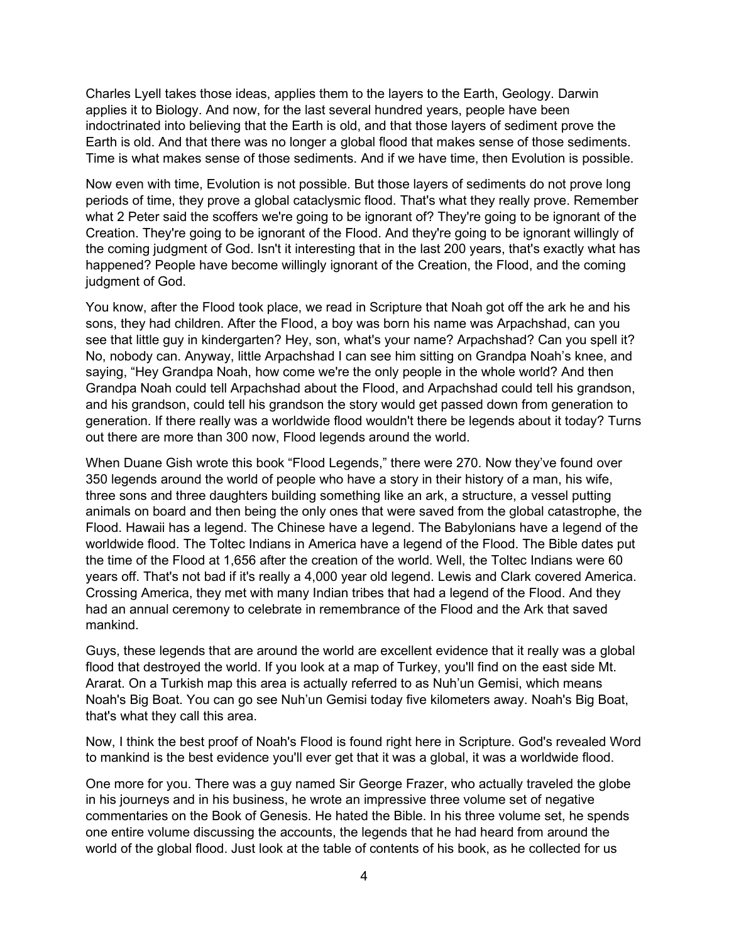Charles Lyell takes those ideas, applies them to the layers to the Earth, Geology. Darwin applies it to Biology. And now, for the last several hundred years, people have been indoctrinated into believing that the Earth is old, and that those layers of sediment prove the Earth is old. And that there was no longer a global flood that makes sense of those sediments. Time is what makes sense of those sediments. And if we have time, then Evolution is possible.

Now even with time, Evolution is not possible. But those layers of sediments do not prove long periods of time, they prove a global cataclysmic flood. That's what they really prove. Remember what 2 Peter said the scoffers we're going to be ignorant of? They're going to be ignorant of the Creation. They're going to be ignorant of the Flood. And they're going to be ignorant willingly of the coming judgment of God. Isn't it interesting that in the last 200 years, that's exactly what has happened? People have become willingly ignorant of the Creation, the Flood, and the coming judgment of God.

You know, after the Flood took place, we read in Scripture that Noah got off the ark he and his sons, they had children. After the Flood, a boy was born his name was Arpachshad, can you see that little guy in kindergarten? Hey, son, what's your name? Arpachshad? Can you spell it? No, nobody can. Anyway, little Arpachshad I can see him sitting on Grandpa Noah's knee, and saying, "Hey Grandpa Noah, how come we're the only people in the whole world? And then Grandpa Noah could tell Arpachshad about the Flood, and Arpachshad could tell his grandson, and his grandson, could tell his grandson the story would get passed down from generation to generation. If there really was a worldwide flood wouldn't there be legends about it today? Turns out there are more than 300 now, Flood legends around the world.

When Duane Gish wrote this book "Flood Legends," there were 270. Now they've found over 350 legends around the world of people who have a story in their history of a man, his wife, three sons and three daughters building something like an ark, a structure, a vessel putting animals on board and then being the only ones that were saved from the global catastrophe, the Flood. Hawaii has a legend. The Chinese have a legend. The Babylonians have a legend of the worldwide flood. The Toltec Indians in America have a legend of the Flood. The Bible dates put the time of the Flood at 1,656 after the creation of the world. Well, the Toltec Indians were 60 years off. That's not bad if it's really a 4,000 year old legend. Lewis and Clark covered America. Crossing America, they met with many Indian tribes that had a legend of the Flood. And they had an annual ceremony to celebrate in remembrance of the Flood and the Ark that saved mankind.

Guys, these legends that are around the world are excellent evidence that it really was a global flood that destroyed the world. If you look at a map of Turkey, you'll find on the east side Mt. Ararat. On a Turkish map this area is actually referred to as Nuh'un Gemisi, which means Noah's Big Boat. You can go see Nuh'un Gemisi today five kilometers away. Noah's Big Boat, that's what they call this area.

Now, I think the best proof of Noah's Flood is found right here in Scripture. God's revealed Word to mankind is the best evidence you'll ever get that it was a global, it was a worldwide flood.

One more for you. There was a guy named Sir George Frazer, who actually traveled the globe in his journeys and in his business, he wrote an impressive three volume set of negative commentaries on the Book of Genesis. He hated the Bible. In his three volume set, he spends one entire volume discussing the accounts, the legends that he had heard from around the world of the global flood. Just look at the table of contents of his book, as he collected for us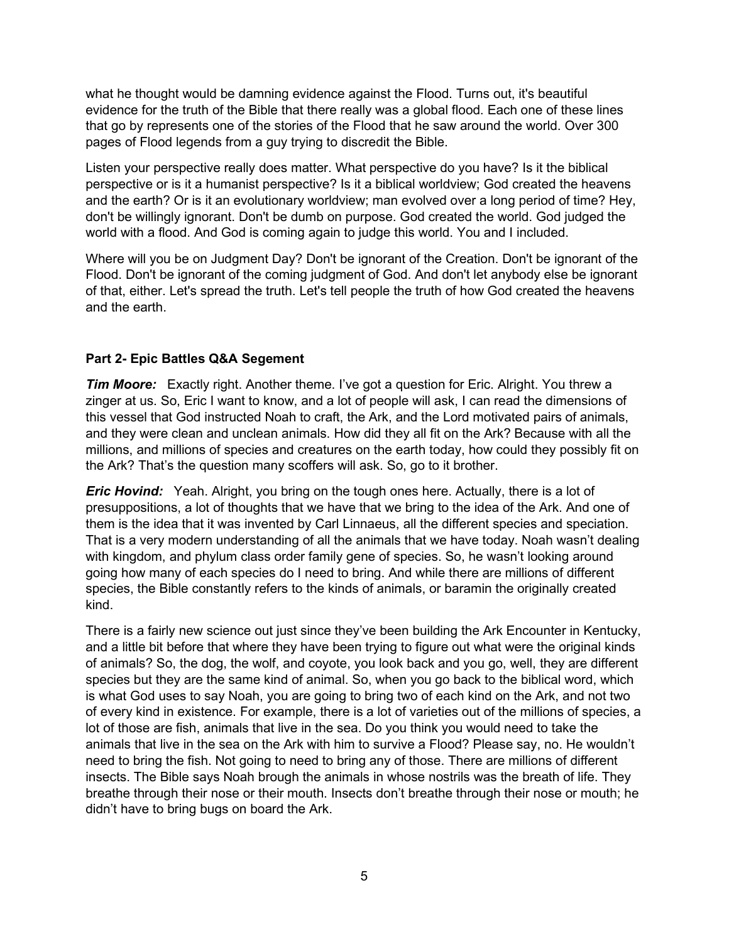what he thought would be damning evidence against the Flood. Turns out, it's beautiful evidence for the truth of the Bible that there really was a global flood. Each one of these lines that go by represents one of the stories of the Flood that he saw around the world. Over 300 pages of Flood legends from a guy trying to discredit the Bible.

Listen your perspective really does matter. What perspective do you have? Is it the biblical perspective or is it a humanist perspective? Is it a biblical worldview; God created the heavens and the earth? Or is it an evolutionary worldview; man evolved over a long period of time? Hey, don't be willingly ignorant. Don't be dumb on purpose. God created the world. God judged the world with a flood. And God is coming again to judge this world. You and I included.

Where will you be on Judgment Day? Don't be ignorant of the Creation. Don't be ignorant of the Flood. Don't be ignorant of the coming judgment of God. And don't let anybody else be ignorant of that, either. Let's spread the truth. Let's tell people the truth of how God created the heavens and the earth.

### **Part 2- Epic Battles Q&A Segement**

*Tim Moore:* Exactly right. Another theme. I've got a question for Eric. Alright. You threw a zinger at us. So, Eric I want to know, and a lot of people will ask, I can read the dimensions of this vessel that God instructed Noah to craft, the Ark, and the Lord motivated pairs of animals, and they were clean and unclean animals. How did they all fit on the Ark? Because with all the millions, and millions of species and creatures on the earth today, how could they possibly fit on the Ark? That's the question many scoffers will ask. So, go to it brother.

*Eric Hovind:* Yeah. Alright, you bring on the tough ones here. Actually, there is a lot of presuppositions, a lot of thoughts that we have that we bring to the idea of the Ark. And one of them is the idea that it was invented by Carl Linnaeus, all the different species and speciation. That is a very modern understanding of all the animals that we have today. Noah wasn't dealing with kingdom, and phylum class order family gene of species. So, he wasn't looking around going how many of each species do I need to bring. And while there are millions of different species, the Bible constantly refers to the kinds of animals, or baramin the originally created kind.

There is a fairly new science out just since they've been building the Ark Encounter in Kentucky, and a little bit before that where they have been trying to figure out what were the original kinds of animals? So, the dog, the wolf, and coyote, you look back and you go, well, they are different species but they are the same kind of animal. So, when you go back to the biblical word, which is what God uses to say Noah, you are going to bring two of each kind on the Ark, and not two of every kind in existence. For example, there is a lot of varieties out of the millions of species, a lot of those are fish, animals that live in the sea. Do you think you would need to take the animals that live in the sea on the Ark with him to survive a Flood? Please say, no. He wouldn't need to bring the fish. Not going to need to bring any of those. There are millions of different insects. The Bible says Noah brough the animals in whose nostrils was the breath of life. They breathe through their nose or their mouth. Insects don't breathe through their nose or mouth; he didn't have to bring bugs on board the Ark.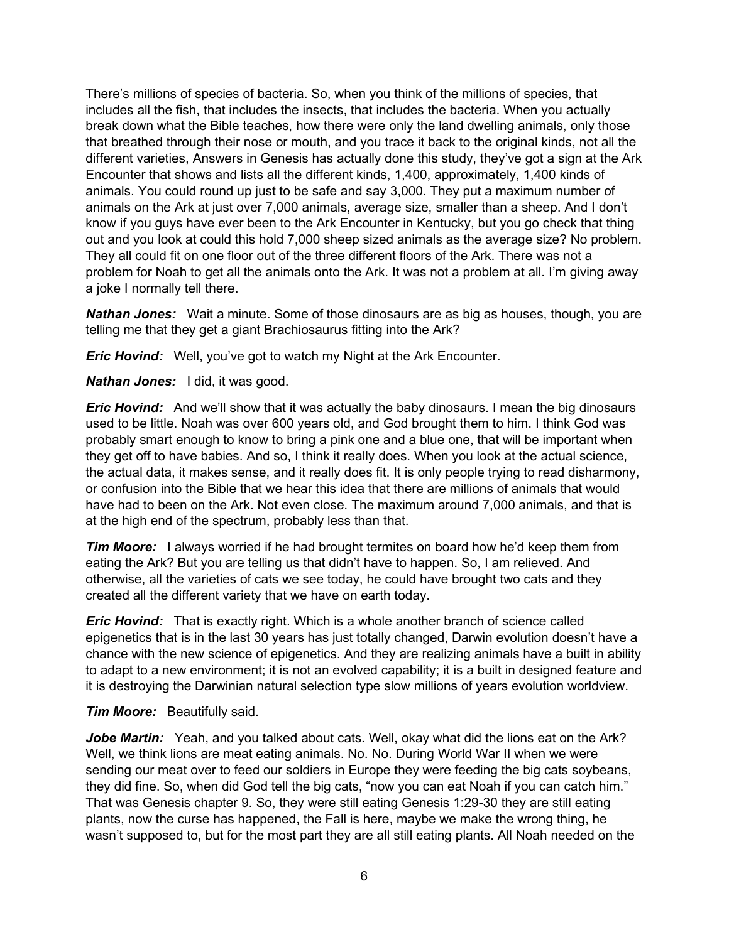There's millions of species of bacteria. So, when you think of the millions of species, that includes all the fish, that includes the insects, that includes the bacteria. When you actually break down what the Bible teaches, how there were only the land dwelling animals, only those that breathed through their nose or mouth, and you trace it back to the original kinds, not all the different varieties, Answers in Genesis has actually done this study, they've got a sign at the Ark Encounter that shows and lists all the different kinds, 1,400, approximately, 1,400 kinds of animals. You could round up just to be safe and say 3,000. They put a maximum number of animals on the Ark at just over 7,000 animals, average size, smaller than a sheep. And I don't know if you guys have ever been to the Ark Encounter in Kentucky, but you go check that thing out and you look at could this hold 7,000 sheep sized animals as the average size? No problem. They all could fit on one floor out of the three different floors of the Ark. There was not a problem for Noah to get all the animals onto the Ark. It was not a problem at all. I'm giving away a joke I normally tell there.

*Nathan Jones:* Wait a minute. Some of those dinosaurs are as big as houses, though, you are telling me that they get a giant Brachiosaurus fitting into the Ark?

*Eric Hovind:* Well, you've got to watch my Night at the Ark Encounter.

*Nathan Jones:* I did, it was good.

*Eric Hovind:* And we'll show that it was actually the baby dinosaurs. I mean the big dinosaurs used to be little. Noah was over 600 years old, and God brought them to him. I think God was probably smart enough to know to bring a pink one and a blue one, that will be important when they get off to have babies. And so, I think it really does. When you look at the actual science, the actual data, it makes sense, and it really does fit. It is only people trying to read disharmony, or confusion into the Bible that we hear this idea that there are millions of animals that would have had to been on the Ark. Not even close. The maximum around 7,000 animals, and that is at the high end of the spectrum, probably less than that.

*Tim Moore:* I always worried if he had brought termites on board how he'd keep them from eating the Ark? But you are telling us that didn't have to happen. So, I am relieved. And otherwise, all the varieties of cats we see today, he could have brought two cats and they created all the different variety that we have on earth today.

*Eric Hovind:* That is exactly right. Which is a whole another branch of science called epigenetics that is in the last 30 years has just totally changed, Darwin evolution doesn't have a chance with the new science of epigenetics. And they are realizing animals have a built in ability to adapt to a new environment; it is not an evolved capability; it is a built in designed feature and it is destroying the Darwinian natural selection type slow millions of years evolution worldview.

#### *Tim Moore:* Beautifully said.

**Jobe Martin:** Yeah, and you talked about cats. Well, okay what did the lions eat on the Ark? Well, we think lions are meat eating animals. No. No. During World War II when we were sending our meat over to feed our soldiers in Europe they were feeding the big cats soybeans, they did fine. So, when did God tell the big cats, "now you can eat Noah if you can catch him." That was Genesis chapter 9. So, they were still eating Genesis 1:29-30 they are still eating plants, now the curse has happened, the Fall is here, maybe we make the wrong thing, he wasn't supposed to, but for the most part they are all still eating plants. All Noah needed on the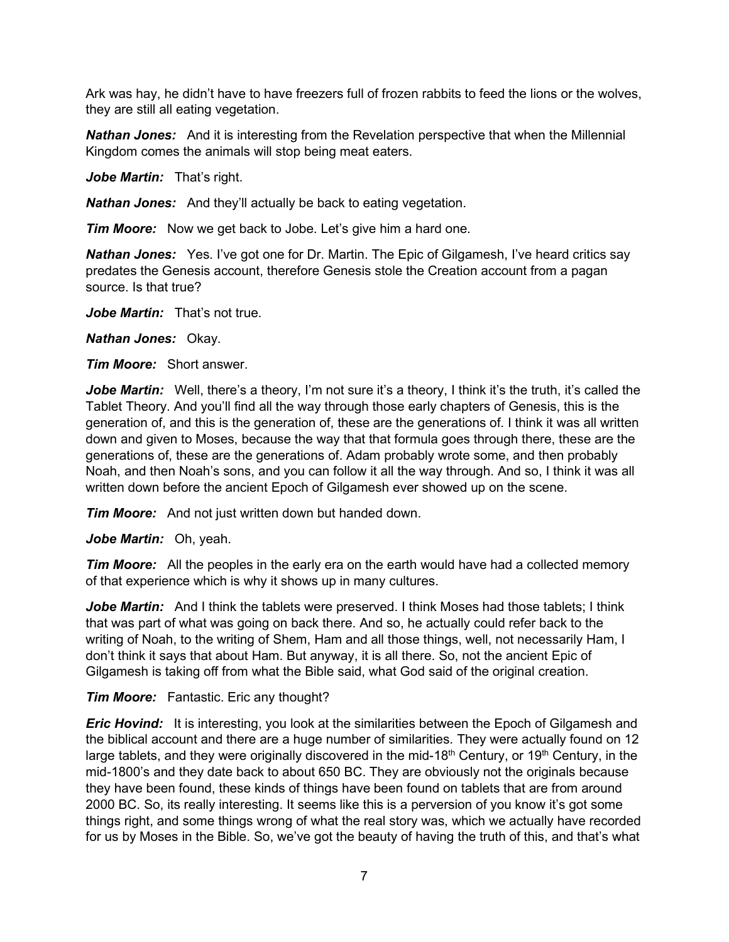Ark was hay, he didn't have to have freezers full of frozen rabbits to feed the lions or the wolves, they are still all eating vegetation.

*Nathan Jones:* And it is interesting from the Revelation perspective that when the Millennial Kingdom comes the animals will stop being meat eaters.

*Jobe Martin:* That's right.

*Nathan Jones:* And they'll actually be back to eating vegetation.

*Tim Moore:* Now we get back to Jobe. Let's give him a hard one.

*Nathan Jones:* Yes. I've got one for Dr. Martin. The Epic of Gilgamesh, I've heard critics say predates the Genesis account, therefore Genesis stole the Creation account from a pagan source. Is that true?

*Jobe Martin:* That's not true.

*Nathan Jones:* Okay.

*Tim Moore:* Short answer.

Jobe Martin: Well, there's a theory, I'm not sure it's a theory, I think it's the truth, it's called the Tablet Theory. And you'll find all the way through those early chapters of Genesis, this is the generation of, and this is the generation of, these are the generations of. I think it was all written down and given to Moses, because the way that that formula goes through there, these are the generations of, these are the generations of. Adam probably wrote some, and then probably Noah, and then Noah's sons, and you can follow it all the way through. And so, I think it was all written down before the ancient Epoch of Gilgamesh ever showed up on the scene.

*Tim Moore:* And not just written down but handed down.

*Jobe Martin:* Oh, yeah.

*Tim Moore:* All the peoples in the early era on the earth would have had a collected memory of that experience which is why it shows up in many cultures.

*Jobe Martin:* And I think the tablets were preserved. I think Moses had those tablets; I think that was part of what was going on back there. And so, he actually could refer back to the writing of Noah, to the writing of Shem, Ham and all those things, well, not necessarily Ham, I don't think it says that about Ham. But anyway, it is all there. So, not the ancient Epic of Gilgamesh is taking off from what the Bible said, what God said of the original creation.

*Tim Moore:* Fantastic. Eric any thought?

*Eric Hovind:* It is interesting, you look at the similarities between the Epoch of Gilgamesh and the biblical account and there are a huge number of similarities. They were actually found on 12 large tablets, and they were originally discovered in the mid-18<sup>th</sup> Century, or 19<sup>th</sup> Century, in the mid-1800's and they date back to about 650 BC. They are obviously not the originals because they have been found, these kinds of things have been found on tablets that are from around 2000 BC. So, its really interesting. It seems like this is a perversion of you know it's got some things right, and some things wrong of what the real story was, which we actually have recorded for us by Moses in the Bible. So, we've got the beauty of having the truth of this, and that's what